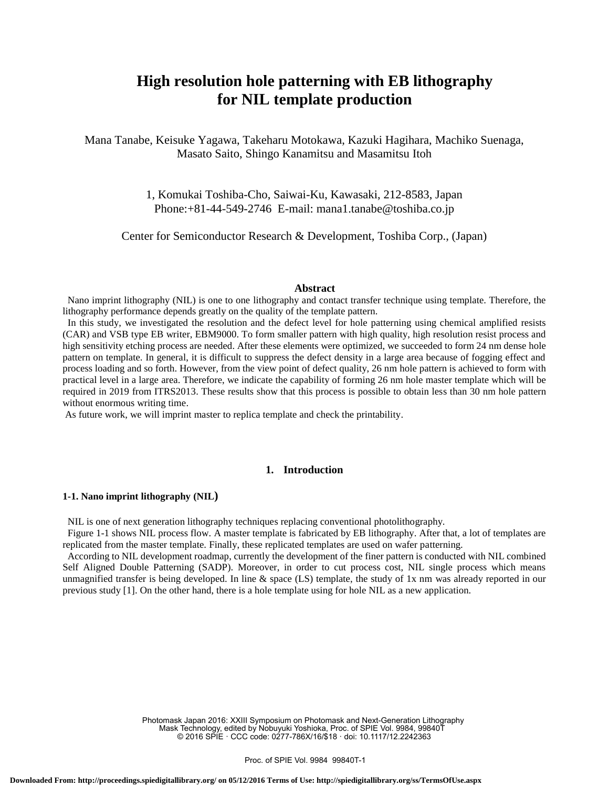# **High resolution hole patterning with EB lithography for NIL template production**

Mana Tanabe, Keisuke Yagawa, Takeharu Motokawa, Kazuki Hagihara, Machiko Suenaga, Masato Saito, Shingo Kanamitsu and Masamitsu Itoh

> 1, Komukai Toshiba-Cho, Saiwai-Ku, Kawasaki, 212-8583, Japan Phone:+81-44-549-2746 E-mail: mana1.tanabe@toshiba.co.jp

Center for Semiconductor Research & Development, Toshiba Corp., (Japan)

#### **Abstract**

Nano imprint lithography (NIL) is one to one lithography and contact transfer technique using template. Therefore, the lithography performance depends greatly on the quality of the template pattern.

In this study, we investigated the resolution and the defect level for hole patterning using chemical amplified resists (CAR) and VSB type EB writer, EBM9000. To form smaller pattern with high quality, high resolution resist process and high sensitivity etching process are needed. After these elements were optimized, we succeeded to form 24 nm dense hole pattern on template. In general, it is difficult to suppress the defect density in a large area because of fogging effect and process loading and so forth. However, from the view point of defect quality, 26 nm hole pattern is achieved to form with practical level in a large area. Therefore, we indicate the capability of forming 26 nm hole master template which will be required in 2019 from ITRS2013. These results show that this process is possible to obtain less than 30 nm hole pattern without enormous writing time.

As future work, we will imprint master to replica template and check the printability.

## **1. Introduction**

## **1-1. Nano imprint lithography (NIL)**

NIL is one of next generation lithography techniques replacing conventional photolithography.

Figure 1-1 shows NIL process flow. A master template is fabricated by EB lithography. After that, a lot of templates are replicated from the master template. Finally, these replicated templates are used on wafer patterning.

According to NIL development roadmap, currently the development of the finer pattern is conducted with NIL combined Self Aligned Double Patterning (SADP). Moreover, in order to cut process cost, NIL single process which means unmagnified transfer is being developed. In line  $\&$  space (LS) template, the study of 1x nm was already reported in our previous study [1]. On the other hand, there is a hole template using for hole NIL as a new application.

> Photomask Japan 2016: XXIII Symposium on Photomask and Next-Generation Lithography Mask Technology, edited by Nobuyuki Yoshioka, Proc. of SPIE Vol. 9984, 99840T © 2016 SPIE · CCC code: 0277-786X/16/\$18 · doi: 10.1117/12.2242363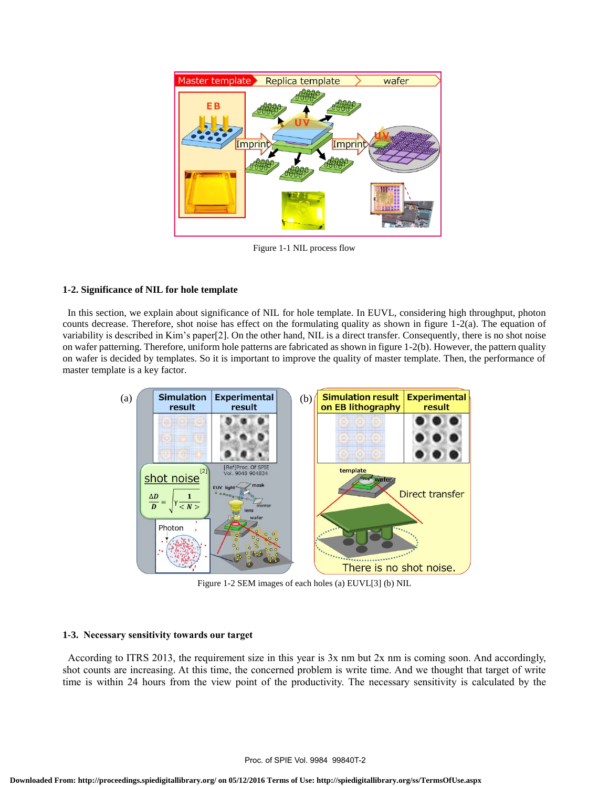

Figure 1-1 NIL process flow

## **1-2. Significance of NIL for hole template**

In this section, we explain about significance of NIL for hole template. In EUVL, considering high throughput, photon counts decrease. Therefore, shot noise has effect on the formulating quality as shown in figure 1-2(a). The equation of variability is described in Kim's paper[2]. On the other hand, NIL is a direct transfer. Consequently, there is no shot noise on wafer patterning. Therefore, uniform hole patterns are fabricated as shown in figure 1-2(b). However, the pattern quality on wafer is decided by templates. So it is important to improve the quality of master template. Then, the performance of master template is a key factor.



Figure 1-2 SEM images of each holes (a) EUVL[3] (b) NIL

## **1-3. Necessary sensitivity towards our target**

According to ITRS 2013, the requirement size in this year is 3x nm but 2x nm is coming soon. And accordingly, shot counts are increasing. At this time, the concerned problem is write time. And we thought that target of write time is within 24 hours from the view point of the productivity. The necessary sensitivity is calculated by the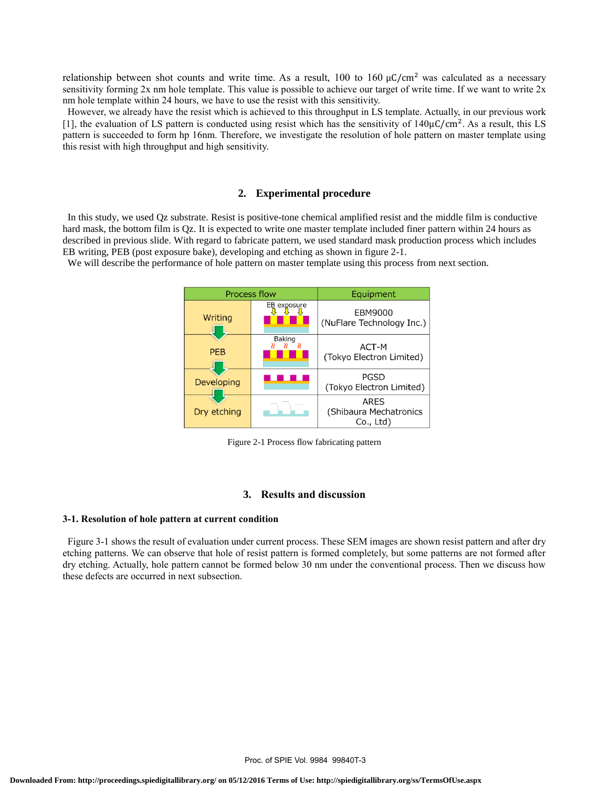relationship between shot counts and write time. As a result,  $100$  to  $160 \mu C/cm^2$  was calculated as a necessary sensitivity forming  $2x$  nm hole template. This value is possible to achieve our target of write time. If we want to write  $2x$ nm hole template within 24 hours, we have to use the resist with this sensitivity.

However, we already have the resist which is achieved to this throughput in LS template. Actually, in our previous work [1], the evaluation of LS pattern is conducted using resist which has the sensitivity of  $140 \mu C/cm^2$ . As a result, this LS pattern is succeeded to form hp 16nm. Therefore, we investigate the resolution of hole pattern on master template using this resist with high throughput and high sensitivity.

#### **2. Experimental procedure**

In this study, we used Qz substrate. Resist is positive-tone chemical amplified resist and the middle film is conductive hard mask, the bottom film is Qz. It is expected to write one master template included finer pattern within 24 hours as described in previous slide. With regard to fabricate pattern, we used standard mask production process which includes EB writing, PEB (post exposure bake), developing and etching as shown in figure 2-1.

We will describe the performance of hole pattern on master template using this process from next section.



Figure 2-1 Process flow fabricating pattern

## **3. Results and discussion**

#### **3-1. Resolution of hole pattern at current condition**

Figure 3-1 shows the result of evaluation under current process. These SEM images are shown resist pattern and after dry etching patterns. We can observe that hole of resist pattern is formed completely, but some patterns are not formed after dry etching. Actually, hole pattern cannot be formed below 30 nm under the conventional process. Then we discuss how these defects are occurred in next subsection.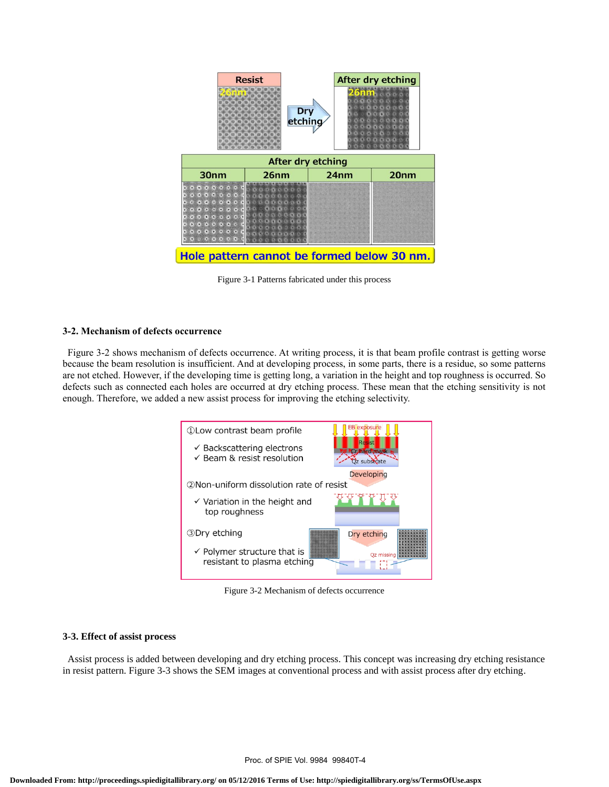

Figure 3-1 Patterns fabricated under this process

#### **3-2. Mechanism of defects occurrence**

Figure 3-2 shows mechanism of defects occurrence. At writing process, it is that beam profile contrast is getting worse because the beam resolution is insufficient. And at developing process, in some parts, there is a residue, so some patterns are not etched. However, if the developing time is getting long, a variation in the height and top roughness is occurred. So defects such as connected each holes are occurred at dry etching process. These mean that the etching sensitivity is not enough. Therefore, we added a new assist process for improving the etching selectivity.



Figure 3-2 Mechanism of defects occurrence

## **3-3. Effect of assist process**

Assist process is added between developing and dry etching process. This concept was increasing dry etching resistance in resist pattern. Figure 3-3 shows the SEM images at conventional process and with assist process after dry etching.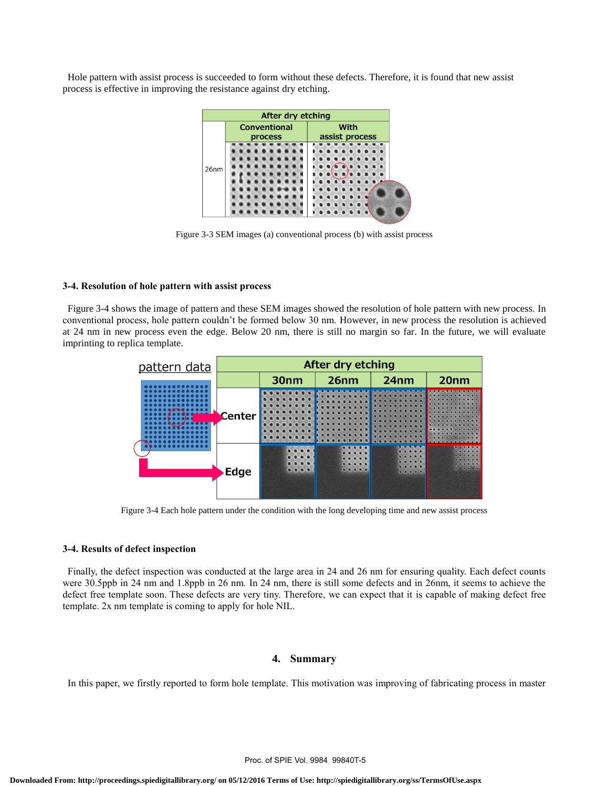Hole pattern with assist process is succeeded to form without these defects. Therefore, it is found that new assist process is effective in improving the resistance against dry etching.



Figure 3-3 SEM images (a) conventional process (b) with assist process

#### **3-4. Resolution of hole pattern with assist process**

Figure 3-4 shows the image of pattern and these SEM images showed the resolution of hole pattern with new process. In conventional process, hole pattern couldn't be formed below 30 nm. However, in new process the resolution is achieved at 24 nm in new process even the edge. Below 20 nm, there is still no margin so far. In the future, we will evaluate imprinting to replica template.



Figure 3-4 Each hole pattern under the condition with the long developing time and new assist process

#### **3-4. Results of defect inspection**

Finally, the defect inspection was conducted at the large area in 24 and 26 nm for ensuring quality. Each defect counts were 30.5ppb in 24 nm and 1.8ppb in 26 nm. In 24 nm, there is still some defects and in 26nm, it seems to achieve the defect free template soon. These defects are very tiny. Therefore, we can expect that it is capable of making defect free template. 2x nm template is coming to apply for hole NIL.

## **4. Summary**

In this paper, we firstly reported to form hole template. This motivation was improving of fabricating process in master